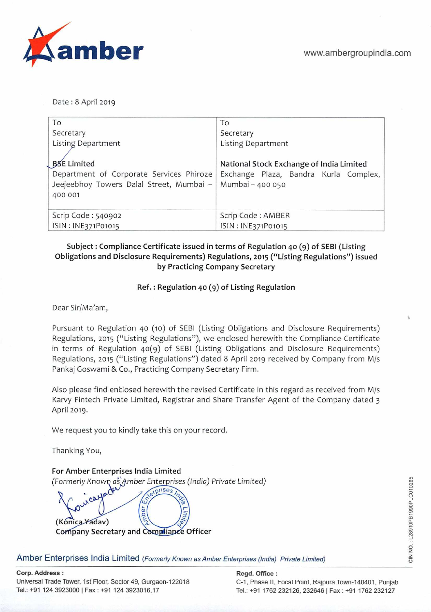

Date: 8 April 2019

| To                                                                                                                                       | To                                                                                |
|------------------------------------------------------------------------------------------------------------------------------------------|-----------------------------------------------------------------------------------|
| Secretary                                                                                                                                | Secretary                                                                         |
| <b>Listing Department</b>                                                                                                                | <b>Listing Department</b>                                                         |
| <b>BSE Limited</b><br>Department of Corporate Services Phiroze<br>Jeejeebhoy Towers Dalal Street, Mumbai -   Mumbai - 400 050<br>400 001 | National Stock Exchange of India Limited<br>Exchange Plaza, Bandra Kurla Complex, |
| Scrip Code: 540902                                                                                                                       | Scrip Code: AMBER                                                                 |
| ISIN: INE371P01015                                                                                                                       | ISIN: INE371P01015                                                                |

#### **Subject: Compliance Certificate issued in terms of Regulation 40** () **of SEBl (Listing Obligations and Disclosure Requirements) Regulations, 2015 ("Listing Regulations") issued by Practicing Company Secretary**

#### **Ref.: Regulation 40 (9) of Listing Regulation**

Dear Sir/Ma'am,

Pursuant to Regulation 40 (10) of SEBI (Listing Obligations and Disclosure Requirements) Regulations, 2015 ("Listing Regulations"), we enclosed herewith the Compliance Certificate in terms of Regulation 40(9) of SEBI (Listing Obligations and Disclosure Requirements) Regulations, 2015 ("Listing Regulations") dated 8 April 2019 received by Company from M/s Pankaj Goswami & Co., Practicing Company Secretary Firm.

Also please find enclosed herewith the revised Certificate in this regard as received from M/s Karvy Fintech Private Limited, Registrar and Share Transfer Agent of the Company dated 3 April 2019.

We request you to kindly take this on your record.

Thanking You,

**For Amber Enterprises India Limited**  (Formerly Κnown as Amber Enterprises (India) Private Limited) prises

 $\omega$ Nber (Kónica Yadav) **Company Secretary and Compliance Officer** 

Amber Enterprises India Limited (Formerly Known as Amber Enterprises (India) Private Limited)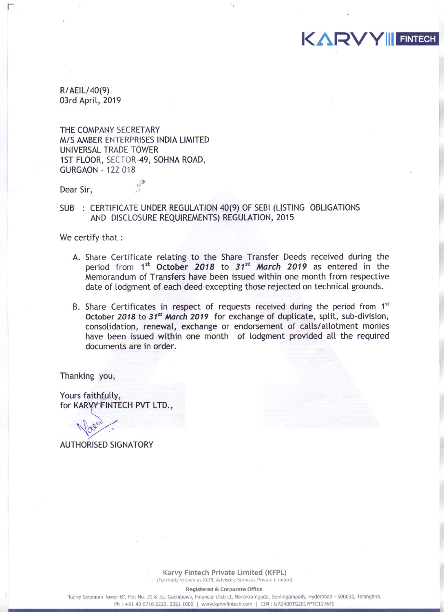R/AEIL/40(9) 03rd April, 2019

THE COMPANY SECRETARY M/S AMBER ENTERPRISES INDIA LIMITED UNIVERSAL TRADE TOWER 1ST FLOOR, SECTOR-49, SOHNA ROAD, **GURGAON - 122 018** 

洋

Dear Sir,

#### SUB : CERTIFICATE UNDER REGULATION 40(9) OF SEBI (LISTING OBLIGATIONS AND DISCLOSURE REQUIREMENTS) REGULATION, 2015

We certify that :

A. Share Certificate relating to the Share Transfer Deeds received during the period from  $1^{st}$  October 2018 to  $31^{st}$  March 2019 as entered in the Memorandum of Transfers have been issued within one month from respective date of lodgment of each deed excepting those rejected on technical grounds.

**KARVY FINTECH** 

B. Share Certificates in respect of requests received during the period from 1<sup>st</sup> October 2018 to 31<sup>st</sup> March 2019 for exchange of duplicate, split, sub-division, consolidation, renewal, exchange or endorsement of calls/allotment monies have been issued within one month of lodgment provided all the required documents are in order.

Thanking you,

Yours faithfully, for KARVY FINTECH PVT LTD.,

**AUTHORISED SIGNATORY** 

Karvy Fintech Private Limited (KFPL) (Formerly known as KCPL Advisory Services Private Limited)

**Registered & Corporate Office** 

"Karvy Selenium Tower-B", Plot No. 31 & 32, Gachibowli, Financial District, Nanakramguda, Serilingampally, Hyderabad - 500032, Telangana. Ph: +91 40 6716 2222, 3321 1000 | www.karvyfintech.com | CIN: U72400TG2017PTC117649